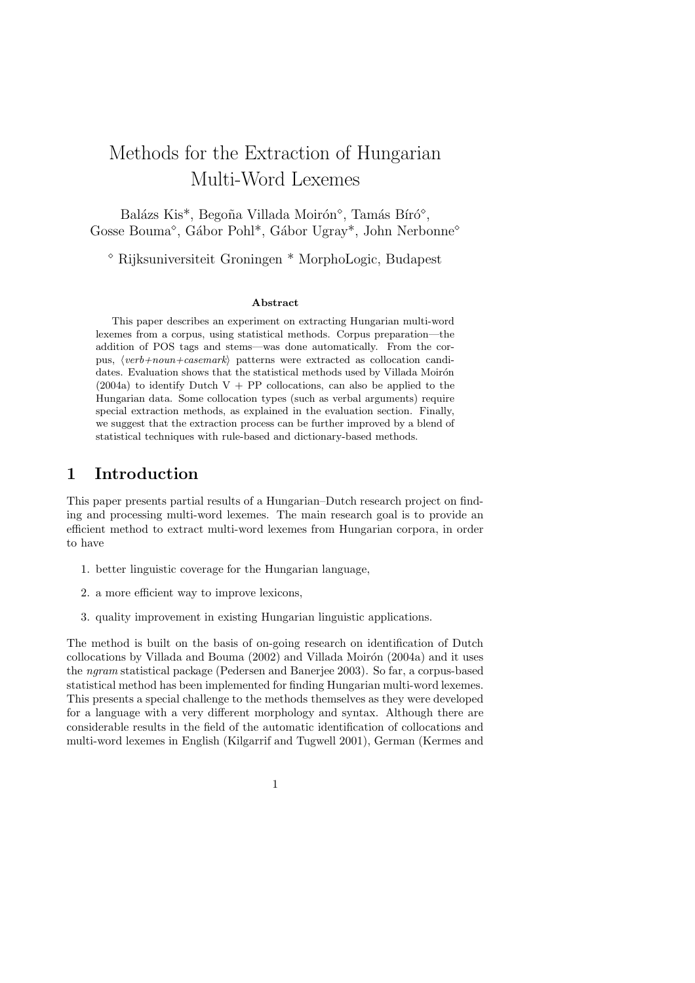# Methods for the Extraction of Hungarian Multi-Word Lexemes

Balázs Kis<sup>\*</sup>, Begoña Villada Moirón<sup>°</sup>, Tamás Bíró<sup>°</sup>, Gosse Bouma<sup>°</sup>, Gábor Pohl<sup>\*</sup>, Gábor Ugray<sup>\*</sup>, John Nerbonne<sup>°</sup>

Rijksuniversiteit Groningen \* MorphoLogic, Budapest

### Abstract

This paper describes an experiment on extracting Hungarian multi-word lexemes from a corpus, using statistical methods. Corpus preparation—the addition of POS tags and stems—was done automatically. From the corpus,  $\langle verb+noun+casemark\rangle$  patterns were extracted as collocation candidates. Evaluation shows that the statistical methods used by Villada Moirón  $(2004a)$  to identify Dutch V + PP collocations, can also be applied to the Hungarian data. Some collocation types (such as verbal arguments) require special extraction methods, as explained in the evaluation section. Finally, we suggest that the extraction process can be further improved by a blend of statistical techniques with rule-based and dictionary-based methods.

### 1 Introduction

This paper presents partial results of a Hungarian–Dutch research project on finding and processing multi-word lexemes. The main research goal is to provide an efficient method to extract multi-word lexemes from Hungarian corpora, in order to have

- 1. better linguistic coverage for the Hungarian language,
- 2. a more efficient way to improve lexicons,
- 3. quality improvement in existing Hungarian linguistic applications.

The method is built on the basis of on-going research on identification of Dutch collocations by Villada and Bouma  $(2002)$  and Villada Moirón  $(2004a)$  and it uses the ngram statistical package (Pedersen and Banerjee 2003). So far, a corpus-based statistical method has been implemented for finding Hungarian multi-word lexemes. This presents a special challenge to the methods themselves as they were developed for a language with a very different morphology and syntax. Although there are considerable results in the field of the automatic identification of collocations and multi-word lexemes in English (Kilgarrif and Tugwell 2001), German (Kermes and

1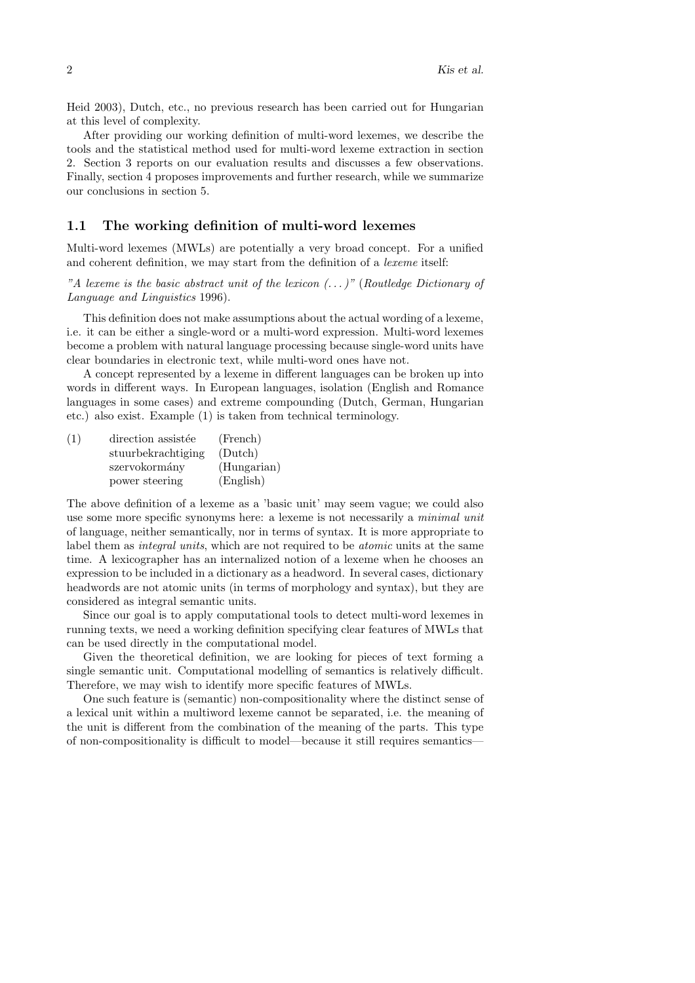Heid 2003), Dutch, etc., no previous research has been carried out for Hungarian at this level of complexity.

After providing our working definition of multi-word lexemes, we describe the tools and the statistical method used for multi-word lexeme extraction in section 2. Section 3 reports on our evaluation results and discusses a few observations. Finally, section 4 proposes improvements and further research, while we summarize our conclusions in section 5.

### 1.1 The working definition of multi-word lexemes

Multi-word lexemes (MWLs) are potentially a very broad concept. For a unified and coherent definition, we may start from the definition of a lexeme itself:

"A lexeme is the basic abstract unit of the lexicon  $(\,\ldots\,)$ " (Routledge Dictionary of Language and Linguistics 1996).

This definition does not make assumptions about the actual wording of a lexeme, i.e. it can be either a single-word or a multi-word expression. Multi-word lexemes become a problem with natural language processing because single-word units have clear boundaries in electronic text, while multi-word ones have not.

A concept represented by a lexeme in different languages can be broken up into words in different ways. In European languages, isolation (English and Romance languages in some cases) and extreme compounding (Dutch, German, Hungarian etc.) also exist. Example (1) is taken from technical terminology.

| (1) | direction assistée | (French)    |
|-----|--------------------|-------------|
|     | stuurbekrachtiging | (Dutch)     |
|     | szervokormány      | (Hungarian) |
|     | power steering     | (English)   |

The above definition of a lexeme as a 'basic unit' may seem vague; we could also use some more specific synonyms here: a lexeme is not necessarily a *minimal unit* of language, neither semantically, nor in terms of syntax. It is more appropriate to label them as *integral units*, which are not required to be *atomic* units at the same time. A lexicographer has an internalized notion of a lexeme when he chooses an expression to be included in a dictionary as a headword. In several cases, dictionary headwords are not atomic units (in terms of morphology and syntax), but they are considered as integral semantic units.

Since our goal is to apply computational tools to detect multi-word lexemes in running texts, we need a working definition specifying clear features of MWLs that can be used directly in the computational model.

Given the theoretical definition, we are looking for pieces of text forming a single semantic unit. Computational modelling of semantics is relatively difficult. Therefore, we may wish to identify more specific features of MWLs.

One such feature is (semantic) non-compositionality where the distinct sense of a lexical unit within a multiword lexeme cannot be separated, i.e. the meaning of the unit is different from the combination of the meaning of the parts. This type of non-compositionality is difficult to model—because it still requires semantics—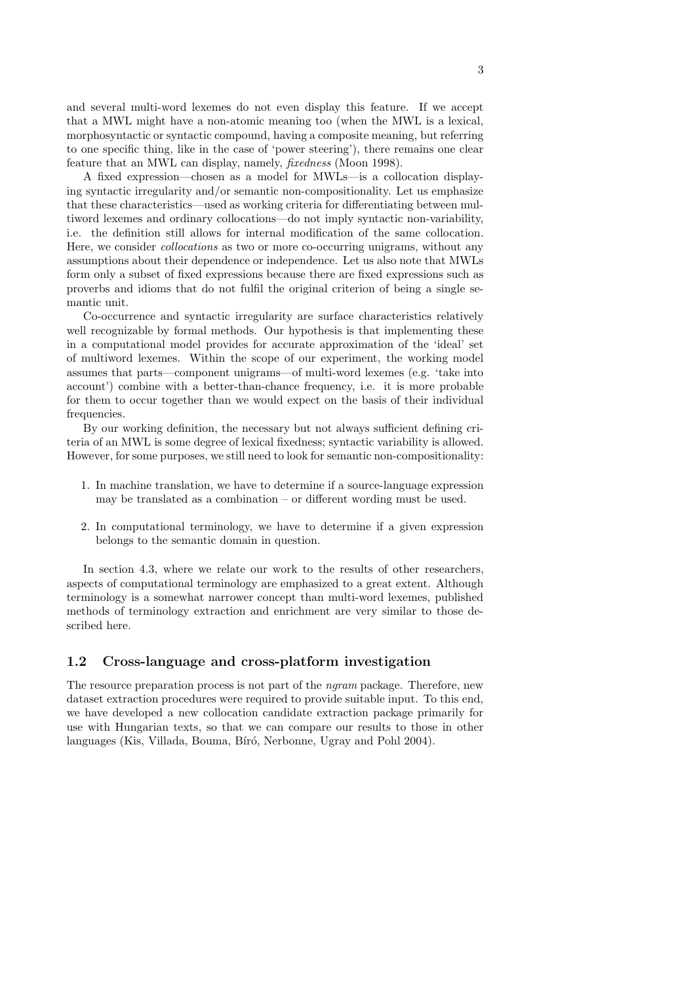and several multi-word lexemes do not even display this feature. If we accept that a MWL might have a non-atomic meaning too (when the MWL is a lexical, morphosyntactic or syntactic compound, having a composite meaning, but referring to one specific thing, like in the case of 'power steering'), there remains one clear feature that an MWL can display, namely, fixedness (Moon 1998).

A fixed expression—chosen as a model for MWLs—is a collocation displaying syntactic irregularity and/or semantic non-compositionality. Let us emphasize that these characteristics—used as working criteria for differentiating between multiword lexemes and ordinary collocations—do not imply syntactic non-variability, i.e. the definition still allows for internal modification of the same collocation. Here, we consider collocations as two or more co-occurring unigrams, without any assumptions about their dependence or independence. Let us also note that MWLs form only a subset of fixed expressions because there are fixed expressions such as proverbs and idioms that do not fulfil the original criterion of being a single semantic unit.

Co-occurrence and syntactic irregularity are surface characteristics relatively well recognizable by formal methods. Our hypothesis is that implementing these in a computational model provides for accurate approximation of the 'ideal' set of multiword lexemes. Within the scope of our experiment, the working model assumes that parts—component unigrams—of multi-word lexemes (e.g. 'take into account') combine with a better-than-chance frequency, i.e. it is more probable for them to occur together than we would expect on the basis of their individual frequencies.

By our working definition, the necessary but not always sufficient defining criteria of an MWL is some degree of lexical fixedness; syntactic variability is allowed. However, for some purposes, we still need to look for semantic non-compositionality:

- 1. In machine translation, we have to determine if a source-language expression may be translated as a combination – or different wording must be used.
- 2. In computational terminology, we have to determine if a given expression belongs to the semantic domain in question.

In section 4.3, where we relate our work to the results of other researchers, aspects of computational terminology are emphasized to a great extent. Although terminology is a somewhat narrower concept than multi-word lexemes, published methods of terminology extraction and enrichment are very similar to those described here.

### 1.2 Cross-language and cross-platform investigation

The resource preparation process is not part of the ngram package. Therefore, new dataset extraction procedures were required to provide suitable input. To this end, we have developed a new collocation candidate extraction package primarily for use with Hungarian texts, so that we can compare our results to those in other languages (Kis, Villada, Bouma, Bíró, Nerbonne, Ugray and Pohl 2004).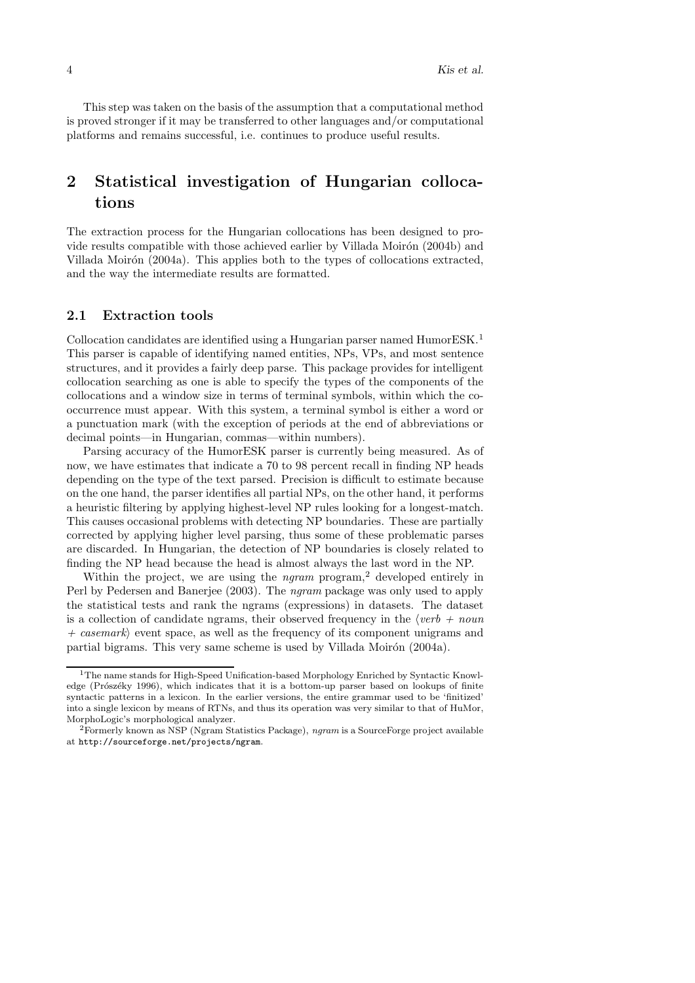This step was taken on the basis of the assumption that a computational method is proved stronger if it may be transferred to other languages and/or computational platforms and remains successful, i.e. continues to produce useful results.

# 2 Statistical investigation of Hungarian collocations

The extraction process for the Hungarian collocations has been designed to provide results compatible with those achieved earlier by Villada Moirón (2004b) and Villada Moirón (2004a). This applies both to the types of collocations extracted, and the way the intermediate results are formatted.

### 2.1 Extraction tools

Collocation candidates are identified using a Hungarian parser named HumorESK.<sup>1</sup> This parser is capable of identifying named entities, NPs, VPs, and most sentence structures, and it provides a fairly deep parse. This package provides for intelligent collocation searching as one is able to specify the types of the components of the collocations and a window size in terms of terminal symbols, within which the cooccurrence must appear. With this system, a terminal symbol is either a word or a punctuation mark (with the exception of periods at the end of abbreviations or decimal points—in Hungarian, commas—within numbers).

Parsing accuracy of the HumorESK parser is currently being measured. As of now, we have estimates that indicate a 70 to 98 percent recall in finding NP heads depending on the type of the text parsed. Precision is difficult to estimate because on the one hand, the parser identifies all partial NPs, on the other hand, it performs a heuristic filtering by applying highest-level NP rules looking for a longest-match. This causes occasional problems with detecting NP boundaries. These are partially corrected by applying higher level parsing, thus some of these problematic parses are discarded. In Hungarian, the detection of NP boundaries is closely related to finding the NP head because the head is almost always the last word in the NP.

Within the project, we are using the  $ngram$  program,<sup>2</sup> developed entirely in Perl by Pedersen and Banerjee (2003). The ngram package was only used to apply the statistical tests and rank the ngrams (expressions) in datasets. The dataset is a collection of candidate ngrams, their observed frequency in the  $\langle verb + noun$  $+$  casemark) event space, as well as the frequency of its component unigrams and partial bigrams. This very same scheme is used by Villada Moirón (2004a).

<sup>&</sup>lt;sup>1</sup>The name stands for High-Speed Unification-based Morphology Enriched by Syntactic Knowledge (Prószéky 1996), which indicates that it is a bottom-up parser based on lookups of finite syntactic patterns in a lexicon. In the earlier versions, the entire grammar used to be 'finitized' into a single lexicon by means of RTNs, and thus its operation was very similar to that of HuMor, MorphoLogic's morphological analyzer.

<sup>2</sup>Formerly known as NSP (Ngram Statistics Package), ngram is a SourceForge project available at http://sourceforge.net/projects/ngram.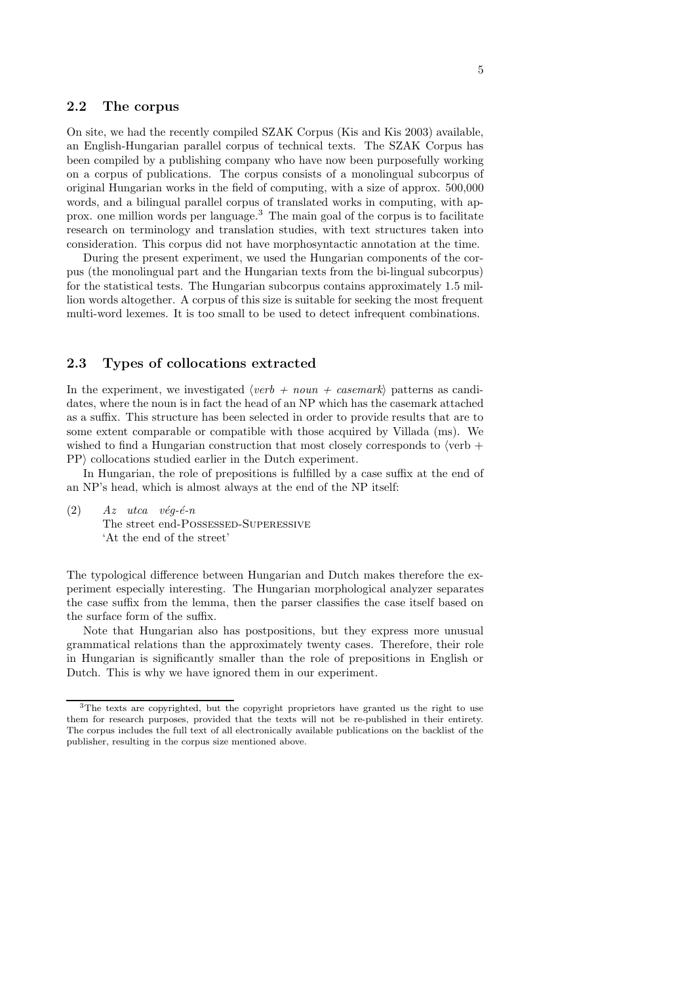### 2.2 The corpus

On site, we had the recently compiled SZAK Corpus (Kis and Kis 2003) available, an English-Hungarian parallel corpus of technical texts. The SZAK Corpus has been compiled by a publishing company who have now been purposefully working on a corpus of publications. The corpus consists of a monolingual subcorpus of original Hungarian works in the field of computing, with a size of approx. 500,000 words, and a bilingual parallel corpus of translated works in computing, with approx. one million words per language.<sup>3</sup> The main goal of the corpus is to facilitate research on terminology and translation studies, with text structures taken into consideration. This corpus did not have morphosyntactic annotation at the time.

During the present experiment, we used the Hungarian components of the corpus (the monolingual part and the Hungarian texts from the bi-lingual subcorpus) for the statistical tests. The Hungarian subcorpus contains approximately 1.5 million words altogether. A corpus of this size is suitable for seeking the most frequent multi-word lexemes. It is too small to be used to detect infrequent combinations.

### 2.3 Types of collocations extracted

In the experiment, we investigated  $\langle verb + noun + casemark \rangle$  patterns as candidates, where the noun is in fact the head of an NP which has the casemark attached as a suffix. This structure has been selected in order to provide results that are to some extent comparable or compatible with those acquired by Villada (ms). We wished to find a Hungarian construction that most closely corresponds to  $\sqrt{\text{verb}}$  + PP) collocations studied earlier in the Dutch experiment.

In Hungarian, the role of prepositions is fulfilled by a case suffix at the end of an NP's head, which is almost always at the end of the NP itself:

 $(2)$  Az utca vég-é-n The street end-POSSESSED-SUPERESSIVE 'At the end of the street'

The typological difference between Hungarian and Dutch makes therefore the experiment especially interesting. The Hungarian morphological analyzer separates the case suffix from the lemma, then the parser classifies the case itself based on the surface form of the suffix.

Note that Hungarian also has postpositions, but they express more unusual grammatical relations than the approximately twenty cases. Therefore, their role in Hungarian is significantly smaller than the role of prepositions in English or Dutch. This is why we have ignored them in our experiment.

<sup>3</sup>The texts are copyrighted, but the copyright proprietors have granted us the right to use them for research purposes, provided that the texts will not be re-published in their entirety. The corpus includes the full text of all electronically available publications on the backlist of the publisher, resulting in the corpus size mentioned above.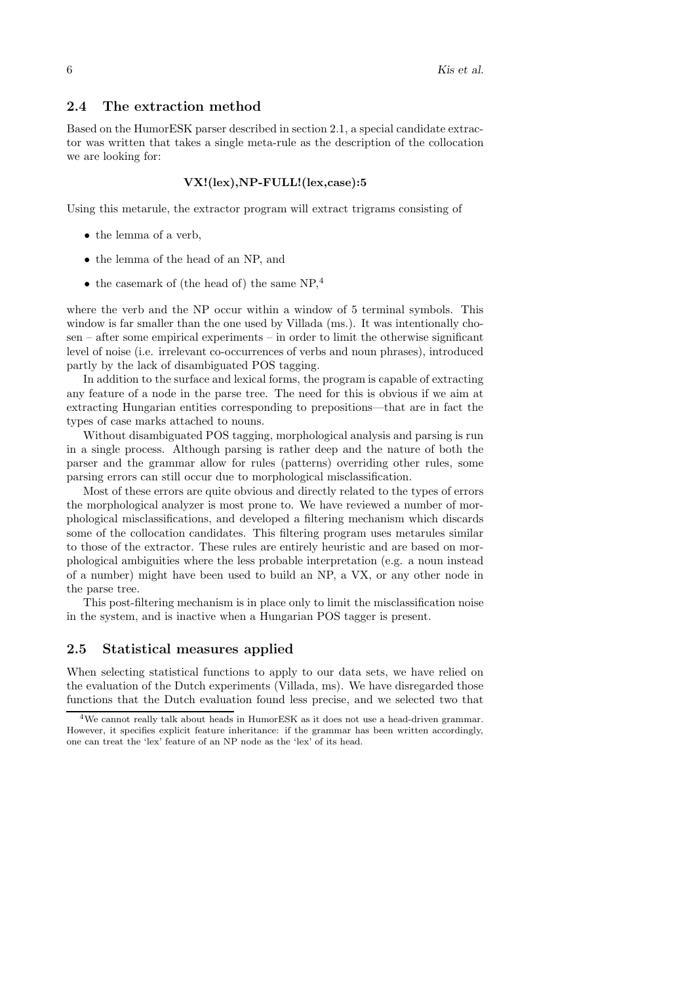#### 2.4 The extraction method

Based on the HumorESK parser described in section 2.1, a special candidate extractor was written that takes a single meta-rule as the description of the collocation we are looking for:

#### VX!(lex),NP-FULL!(lex,case):5

Using this metarule, the extractor program will extract trigrams consisting of

- the lemma of a verb,
- the lemma of the head of an NP, and
- $\bullet$  the casemark of (the head of) the same NP,<sup>4</sup>

where the verb and the NP occur within a window of 5 terminal symbols. This window is far smaller than the one used by Villada (ms.). It was intentionally chosen – after some empirical experiments – in order to limit the otherwise significant level of noise (i.e. irrelevant co-occurrences of verbs and noun phrases), introduced partly by the lack of disambiguated POS tagging.

In addition to the surface and lexical forms, the program is capable of extracting any feature of a node in the parse tree. The need for this is obvious if we aim at extracting Hungarian entities corresponding to prepositions—that are in fact the types of case marks attached to nouns.

Without disambiguated POS tagging, morphological analysis and parsing is run in a single process. Although parsing is rather deep and the nature of both the parser and the grammar allow for rules (patterns) overriding other rules, some parsing errors can still occur due to morphological misclassification.

Most of these errors are quite obvious and directly related to the types of errors the morphological analyzer is most prone to. We have reviewed a number of morphological misclassifications, and developed a filtering mechanism which discards some of the collocation candidates. This filtering program uses metarules similar to those of the extractor. These rules are entirely heuristic and are based on morphological ambiguities where the less probable interpretation (e.g. a noun instead of a number) might have been used to build an NP, a VX, or any other node in the parse tree.

This post-filtering mechanism is in place only to limit the misclassification noise in the system, and is inactive when a Hungarian POS tagger is present.

### 2.5 Statistical measures applied

When selecting statistical functions to apply to our data sets, we have relied on the evaluation of the Dutch experiments (Villada, ms). We have disregarded those functions that the Dutch evaluation found less precise, and we selected two that

<sup>4</sup>We cannot really talk about heads in HumorESK as it does not use a head-driven grammar. However, it specifies explicit feature inheritance: if the grammar has been written accordingly, one can treat the 'lex' feature of an NP node as the 'lex' of its head.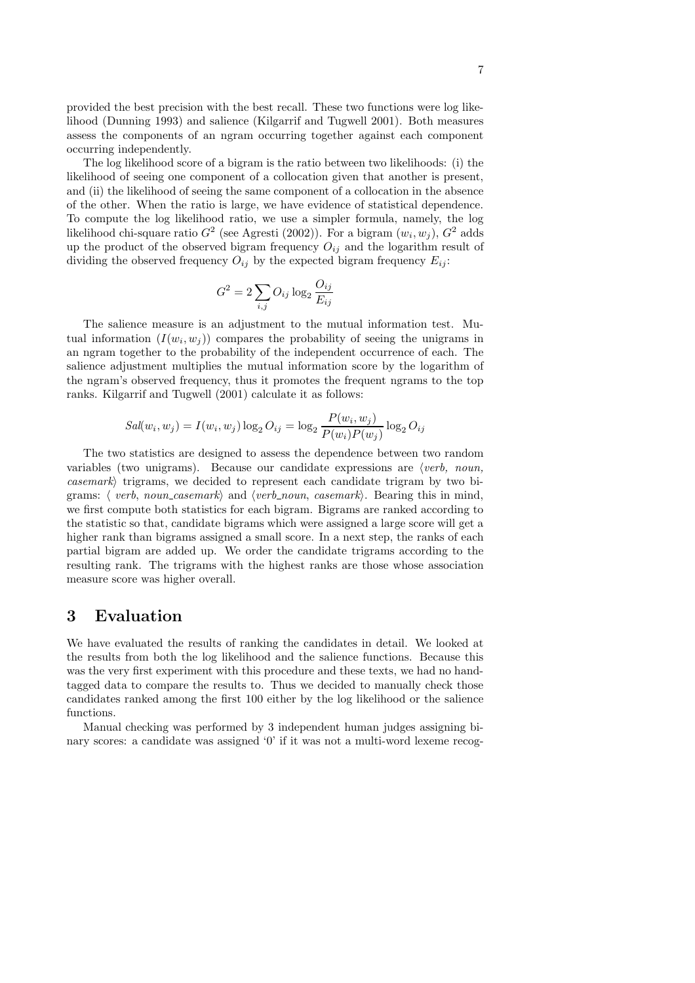provided the best precision with the best recall. These two functions were log likelihood (Dunning 1993) and salience (Kilgarrif and Tugwell 2001). Both measures assess the components of an ngram occurring together against each component occurring independently.

The log likelihood score of a bigram is the ratio between two likelihoods: (i) the likelihood of seeing one component of a collocation given that another is present, and (ii) the likelihood of seeing the same component of a collocation in the absence of the other. When the ratio is large, we have evidence of statistical dependence. To compute the log likelihood ratio, we use a simpler formula, namely, the log likelihood chi-square ratio  $G^2$  (see Agresti (2002)). For a bigram  $(w_i, w_j)$ ,  $G^2$  adds up the product of the observed bigram frequency  $O_{ij}$  and the logarithm result of dividing the observed frequency  $O_{ij}$  by the expected bigram frequency  $E_{ij}$ :

$$
G^2 = 2 \sum_{i,j} O_{ij} \log_2 \frac{O_{ij}}{E_{ij}}
$$

The salience measure is an adjustment to the mutual information test. Mutual information  $(I(w_i, w_j))$  compares the probability of seeing the unigrams in an ngram together to the probability of the independent occurrence of each. The salience adjustment multiplies the mutual information score by the logarithm of the ngram's observed frequency, thus it promotes the frequent ngrams to the top ranks. Kilgarrif and Tugwell (2001) calculate it as follows:

$$
Sal(w_i, w_j) = I(w_i, w_j) \log_2 O_{ij} = \log_2 \frac{P(w_i, w_j)}{P(w_i)P(w_j)} \log_2 O_{ij}
$$

The two statistics are designed to assess the dependence between two random variables (two unigrams). Because our candidate expressions are  $\langle verb, noun,$  $casemark$ ) trigrams, we decided to represent each candidate trigram by two bigrams:  $\langle$  verb, noun casemark $\rangle$  and  $\langle$  verb noun, casemark $\rangle$ . Bearing this in mind, we first compute both statistics for each bigram. Bigrams are ranked according to the statistic so that, candidate bigrams which were assigned a large score will get a higher rank than bigrams assigned a small score. In a next step, the ranks of each partial bigram are added up. We order the candidate trigrams according to the resulting rank. The trigrams with the highest ranks are those whose association measure score was higher overall.

### 3 Evaluation

We have evaluated the results of ranking the candidates in detail. We looked at the results from both the log likelihood and the salience functions. Because this was the very first experiment with this procedure and these texts, we had no handtagged data to compare the results to. Thus we decided to manually check those candidates ranked among the first 100 either by the log likelihood or the salience functions.

Manual checking was performed by 3 independent human judges assigning binary scores: a candidate was assigned '0' if it was not a multi-word lexeme recog-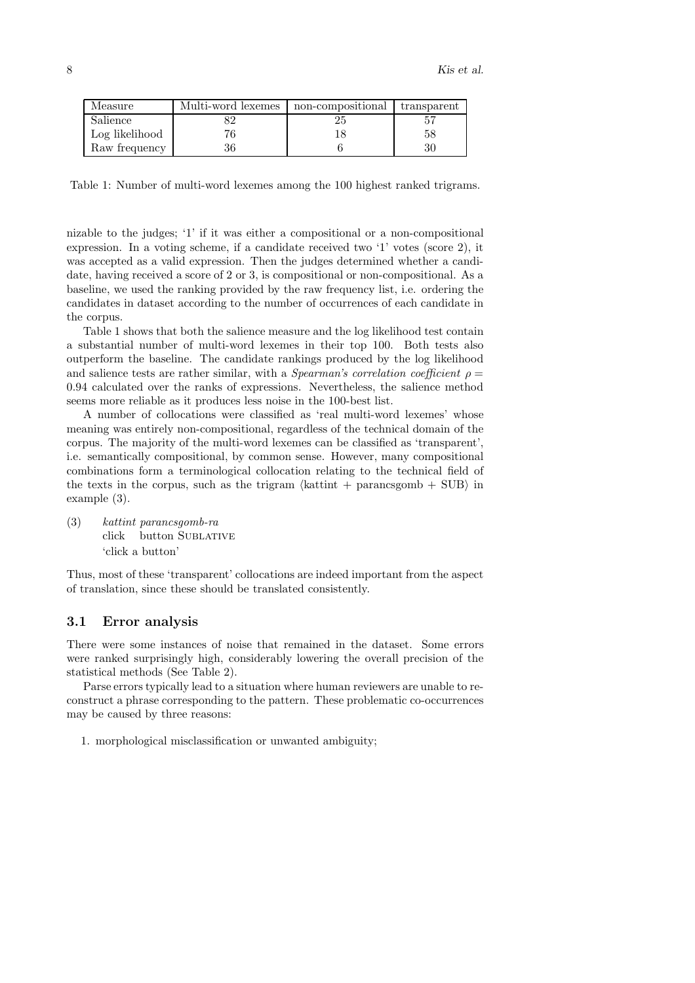| Measure        | Multi-word lexemes | non-compositional | transparent |
|----------------|--------------------|-------------------|-------------|
| Salience       |                    | 25                |             |
| Log likelihood |                    |                   | 58          |
| Raw frequency  | 36                 |                   | 30          |

Table 1: Number of multi-word lexemes among the 100 highest ranked trigrams.

nizable to the judges; '1' if it was either a compositional or a non-compositional expression. In a voting scheme, if a candidate received two '1' votes (score 2), it was accepted as a valid expression. Then the judges determined whether a candidate, having received a score of 2 or 3, is compositional or non-compositional. As a baseline, we used the ranking provided by the raw frequency list, i.e. ordering the candidates in dataset according to the number of occurrences of each candidate in the corpus.

Table 1 shows that both the salience measure and the log likelihood test contain a substantial number of multi-word lexemes in their top 100. Both tests also outperform the baseline. The candidate rankings produced by the log likelihood and salience tests are rather similar, with a *Spearman's correlation coefficient*  $\rho =$ 0.94 calculated over the ranks of expressions. Nevertheless, the salience method seems more reliable as it produces less noise in the 100-best list.

A number of collocations were classified as 'real multi-word lexemes' whose meaning was entirely non-compositional, regardless of the technical domain of the corpus. The majority of the multi-word lexemes can be classified as 'transparent', i.e. semantically compositional, by common sense. However, many compositional combinations form a terminological collocation relating to the technical field of the texts in the corpus, such as the trigram  $\langle \text{kattint} + \text{paramsgomb} + \text{SUB} \rangle$  in example (3).

(3) kattint parancsgomb-ra click button Sublative 'click a button'

Thus, most of these 'transparent' collocations are indeed important from the aspect of translation, since these should be translated consistently.

### 3.1 Error analysis

There were some instances of noise that remained in the dataset. Some errors were ranked surprisingly high, considerably lowering the overall precision of the statistical methods (See Table 2).

Parse errors typically lead to a situation where human reviewers are unable to reconstruct a phrase corresponding to the pattern. These problematic co-occurrences may be caused by three reasons:

1. morphological misclassification or unwanted ambiguity;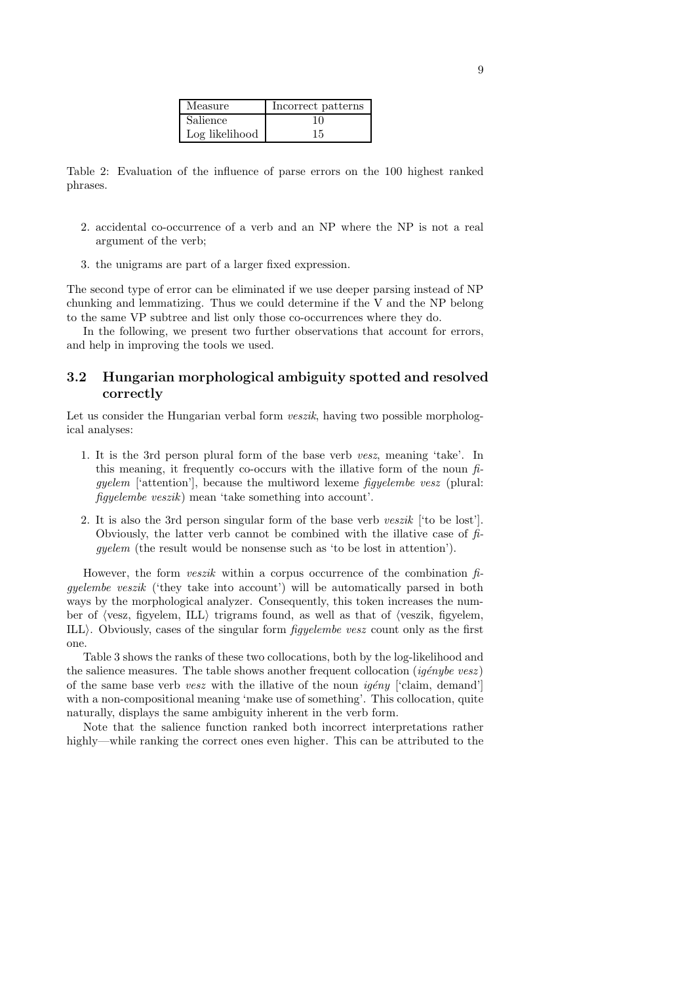| Measure        | Incorrect patterns |
|----------------|--------------------|
| Salience       | 10                 |
| Log likelihood | 15                 |

Table 2: Evaluation of the influence of parse errors on the 100 highest ranked phrases.

- 2. accidental co-occurrence of a verb and an NP where the NP is not a real argument of the verb;
- 3. the unigrams are part of a larger fixed expression.

The second type of error can be eliminated if we use deeper parsing instead of NP chunking and lemmatizing. Thus we could determine if the V and the NP belong to the same VP subtree and list only those co-occurrences where they do.

In the following, we present two further observations that account for errors, and help in improving the tools we used.

### 3.2 Hungarian morphological ambiguity spotted and resolved correctly

Let us consider the Hungarian verbal form *veszik*, having two possible morphological analyses:

- 1. It is the 3rd person plural form of the base verb vesz, meaning 'take'. In this meaning, it frequently co-occurs with the illative form of the noun  $\hat{h}$ gyelem ['attention'], because the multiword lexeme figyelembe vesz (plural: figyelembe veszik) mean 'take something into account'.
- 2. It is also the 3rd person singular form of the base verb veszik ['to be lost']. Obviously, the latter verb cannot be combined with the illative case of  $\hat{h}$ gyelem (the result would be nonsense such as 'to be lost in attention').

However, the form *veszik* within a corpus occurrence of the combination  $f_i$ gyelembe veszik ('they take into account') will be automatically parsed in both ways by the morphological analyzer. Consequently, this token increases the number of  $\langle$ vesz, figyelem, ILL $\rangle$  trigrams found, as well as that of  $\langle$ veszik, figyelem, ILL $\rangle$ . Obviously, cases of the singular form *figyelembe vesz* count only as the first one.

Table 3 shows the ranks of these two collocations, both by the log-likelihood and the salience measures. The table shows another frequent collocation ( $iq \acute{e}nybe$  vesz) of the same base verb vesz with the illative of the noun  $iq \ell n y$  ['claim, demand'] with a non-compositional meaning 'make use of something'. This collocation, quite naturally, displays the same ambiguity inherent in the verb form.

Note that the salience function ranked both incorrect interpretations rather highly—while ranking the correct ones even higher. This can be attributed to the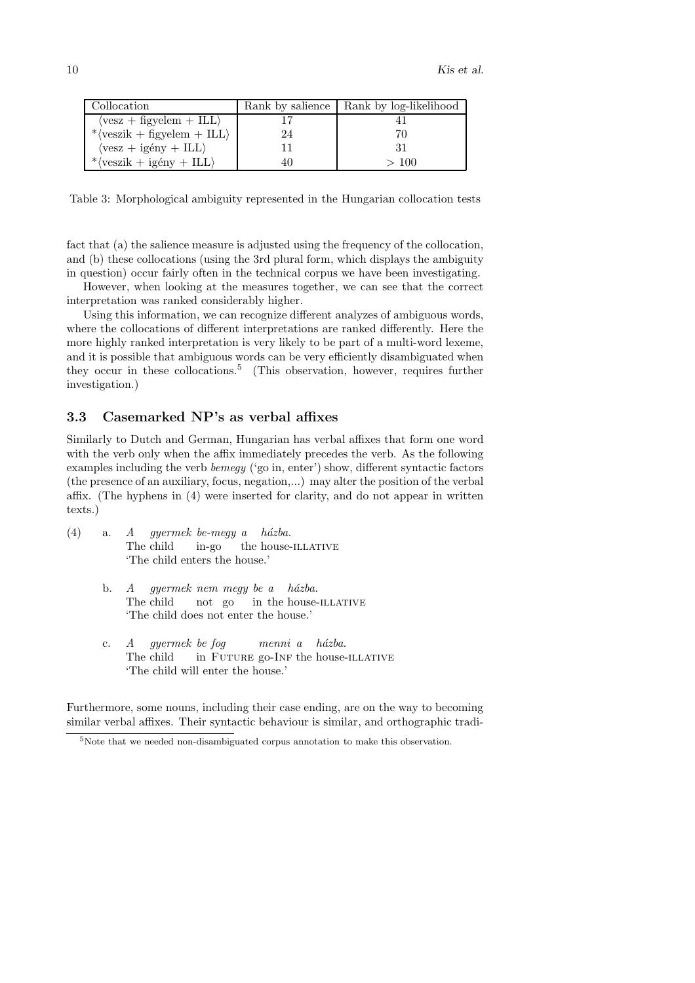| Collocation                                                      |    | Rank by salience   Rank by log-likelihood |
|------------------------------------------------------------------|----|-------------------------------------------|
| $\langle$ vesz + figyelem + ILL $\rangle$                        |    |                                           |
| * $\langle \text{veszik} + \text{figyelem} + \text{ILL} \rangle$ | 24 | 70                                        |
| $\langle \text{vesz} + \text{igény} + \text{ILL} \rangle$        |    | 31                                        |
| * $\langle \text{veszik} + \text{igény} + \text{ILL} \rangle$    | 40 | >100                                      |

Table 3: Morphological ambiguity represented in the Hungarian collocation tests

fact that (a) the salience measure is adjusted using the frequency of the collocation, and (b) these collocations (using the 3rd plural form, which displays the ambiguity in question) occur fairly often in the technical corpus we have been investigating.

However, when looking at the measures together, we can see that the correct interpretation was ranked considerably higher.

Using this information, we can recognize different analyzes of ambiguous words, where the collocations of different interpretations are ranked differently. Here the more highly ranked interpretation is very likely to be part of a multi-word lexeme, and it is possible that ambiguous words can be very efficiently disambiguated when they occur in these collocations.<sup>5</sup> (This observation, however, requires further investigation.)

### 3.3 Casemarked NP's as verbal affixes

Similarly to Dutch and German, Hungarian has verbal affixes that form one word with the verb only when the affix immediately precedes the verb. As the following examples including the verb *bemegy* ('go in, enter') show, different syntactic factors (the presence of an auxiliary, focus, negation,...) may alter the position of the verbal affix. (The hyphens in (4) were inserted for clarity, and do not appear in written texts.)

- (4) a. A The child gyermek be-megy a házba. in-go the house-ILLATIVE 'The child enters the house.'
	- b. *A* gyermek nem megy be a házba. The child not go in the house-ILLATIVE 'The child does not enter the house.'
	- c. A The child gyermek be fog in FUTURE go-INF the house-ILLATIVE menni a házba. 'The child will enter the house.'

Furthermore, some nouns, including their case ending, are on the way to becoming similar verbal affixes. Their syntactic behaviour is similar, and orthographic tradi-

<sup>&</sup>lt;sup>5</sup>Note that we needed non-disambiguated corpus annotation to make this observation.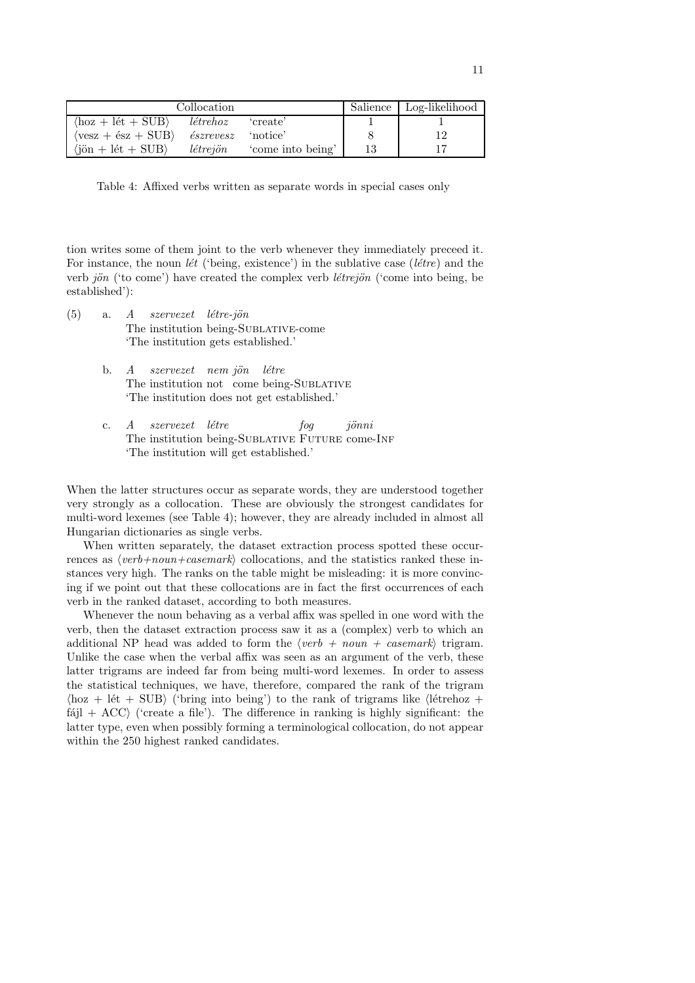| Collocation                                             |                           |                  | Salience   Log-likelihood |
|---------------------------------------------------------|---------------------------|------------------|---------------------------|
| $\langle$ hoz + lét + SUB $\rangle$                     | létrehoz                  | create'          |                           |
| $\langle \text{vesz} + \text{ész} + \text{SUB} \rangle$ | <i>észrevesz</i> 'notice' |                  |                           |
| $\langle$ jön + lét + SUB $\rangle$                     | létrejön                  | come into being' |                           |

Table 4: Affixed verbs written as separate words in special cases only

tion writes some of them joint to the verb whenever they immediately preceed it. For instance, the noun *lét* ('being, existence') in the sublative case (*létre*) and the verb jön ('to come') have created the complex verb *létrejön* ('come into being, be established'):

- (5) a. A The institution being-Sublative-come szervezet létre-jön 'The institution gets established.'
	- b. A The institution not come being-SUBLATIVE szervezet nem jön létre 'The institution does not get established.'
	- c. A The institution being-SUBLATIVE FUTURE come-INF szervezet létre fog jönni 'The institution will get established.'

When the latter structures occur as separate words, they are understood together very strongly as a collocation. These are obviously the strongest candidates for multi-word lexemes (see Table 4); however, they are already included in almost all Hungarian dictionaries as single verbs.

When written separately, the dataset extraction process spotted these occurrences as  $\langle verb+noun+casemark \rangle$  collocations, and the statistics ranked these instances very high. The ranks on the table might be misleading: it is more convincing if we point out that these collocations are in fact the first occurrences of each verb in the ranked dataset, according to both measures.

Whenever the noun behaving as a verbal affix was spelled in one word with the verb, then the dataset extraction process saw it as a (complex) verb to which an additional NP head was added to form the  $\langle verb + noun + casemark \rangle$  trigram. Unlike the case when the verbal affix was seen as an argument of the verb, these latter trigrams are indeed far from being multi-word lexemes. In order to assess the statistical techniques, we have, therefore, compared the rank of the trigram  $\langle$ hoz + lét + SUB $\rangle$  ('bring into being') to the rank of trigrams like  $\langle$ létrehoz +  $fájl + ACC$  ('create a file'). The difference in ranking is highly significant: the latter type, even when possibly forming a terminological collocation, do not appear within the 250 highest ranked candidates.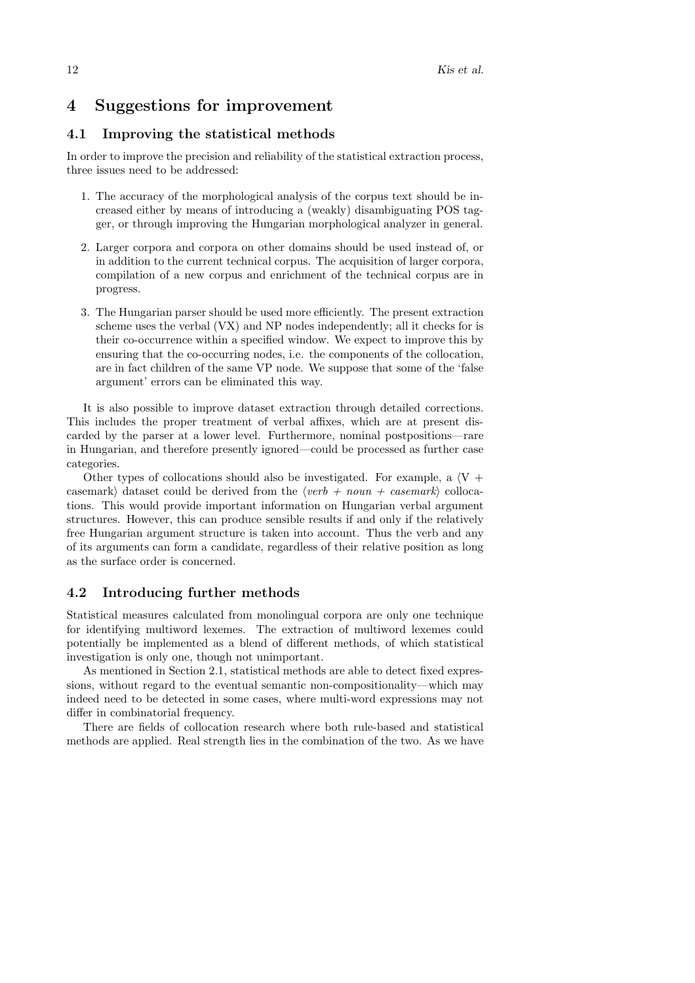### 4 Suggestions for improvement

### 4.1 Improving the statistical methods

In order to improve the precision and reliability of the statistical extraction process, three issues need to be addressed:

- 1. The accuracy of the morphological analysis of the corpus text should be increased either by means of introducing a (weakly) disambiguating POS tagger, or through improving the Hungarian morphological analyzer in general.
- 2. Larger corpora and corpora on other domains should be used instead of, or in addition to the current technical corpus. The acquisition of larger corpora, compilation of a new corpus and enrichment of the technical corpus are in progress.
- 3. The Hungarian parser should be used more efficiently. The present extraction scheme uses the verbal (VX) and NP nodes independently; all it checks for is their co-occurrence within a specified window. We expect to improve this by ensuring that the co-occurring nodes, i.e. the components of the collocation, are in fact children of the same VP node. We suppose that some of the 'false argument' errors can be eliminated this way.

It is also possible to improve dataset extraction through detailed corrections. This includes the proper treatment of verbal affixes, which are at present discarded by the parser at a lower level. Furthermore, nominal postpositions—rare in Hungarian, and therefore presently ignored—could be processed as further case categories.

Other types of collocations should also be investigated. For example, a  $\langle V + \rangle$ casemark) dataset could be derived from the  $\langle verb + noun + casemark \rangle$  collocations. This would provide important information on Hungarian verbal argument structures. However, this can produce sensible results if and only if the relatively free Hungarian argument structure is taken into account. Thus the verb and any of its arguments can form a candidate, regardless of their relative position as long as the surface order is concerned.

### 4.2 Introducing further methods

Statistical measures calculated from monolingual corpora are only one technique for identifying multiword lexemes. The extraction of multiword lexemes could potentially be implemented as a blend of different methods, of which statistical investigation is only one, though not unimportant.

As mentioned in Section 2.1, statistical methods are able to detect fixed expressions, without regard to the eventual semantic non-compositionality—which may indeed need to be detected in some cases, where multi-word expressions may not differ in combinatorial frequency.

There are fields of collocation research where both rule-based and statistical methods are applied. Real strength lies in the combination of the two. As we have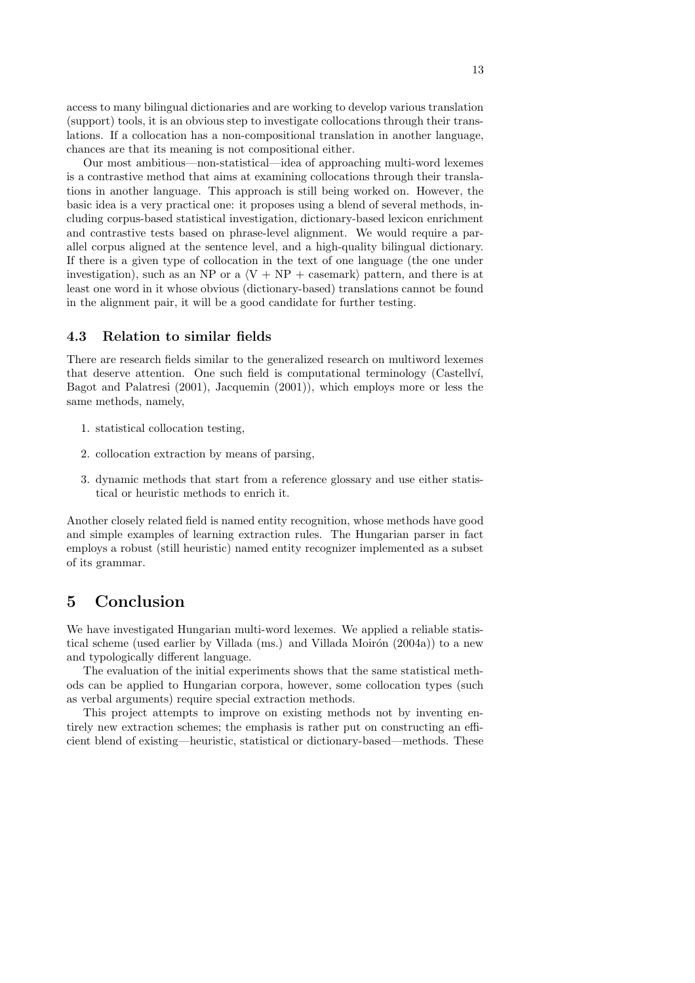access to many bilingual dictionaries and are working to develop various translation (support) tools, it is an obvious step to investigate collocations through their translations. If a collocation has a non-compositional translation in another language, chances are that its meaning is not compositional either.

Our most ambitious—non-statistical—idea of approaching multi-word lexemes is a contrastive method that aims at examining collocations through their translations in another language. This approach is still being worked on. However, the basic idea is a very practical one: it proposes using a blend of several methods, including corpus-based statistical investigation, dictionary-based lexicon enrichment and contrastive tests based on phrase-level alignment. We would require a parallel corpus aligned at the sentence level, and a high-quality bilingual dictionary. If there is a given type of collocation in the text of one language (the one under investigation), such as an NP or a  $\langle V + NP + \text{casemark} \rangle$  pattern, and there is at least one word in it whose obvious (dictionary-based) translations cannot be found in the alignment pair, it will be a good candidate for further testing.

### 4.3 Relation to similar fields

There are research fields similar to the generalized research on multiword lexemes that deserve attention. One such field is computational terminology (Castellv´ı, Bagot and Palatresi (2001), Jacquemin (2001)), which employs more or less the same methods, namely,

- 1. statistical collocation testing,
- 2. collocation extraction by means of parsing,
- 3. dynamic methods that start from a reference glossary and use either statistical or heuristic methods to enrich it.

Another closely related field is named entity recognition, whose methods have good and simple examples of learning extraction rules. The Hungarian parser in fact employs a robust (still heuristic) named entity recognizer implemented as a subset of its grammar.

# 5 Conclusion

We have investigated Hungarian multi-word lexemes. We applied a reliable statistical scheme (used earlier by Villada (ms.) and Villada Moirón  $(2004a)$ ) to a new and typologically different language.

The evaluation of the initial experiments shows that the same statistical methods can be applied to Hungarian corpora, however, some collocation types (such as verbal arguments) require special extraction methods.

This project attempts to improve on existing methods not by inventing entirely new extraction schemes; the emphasis is rather put on constructing an efficient blend of existing—heuristic, statistical or dictionary-based—methods. These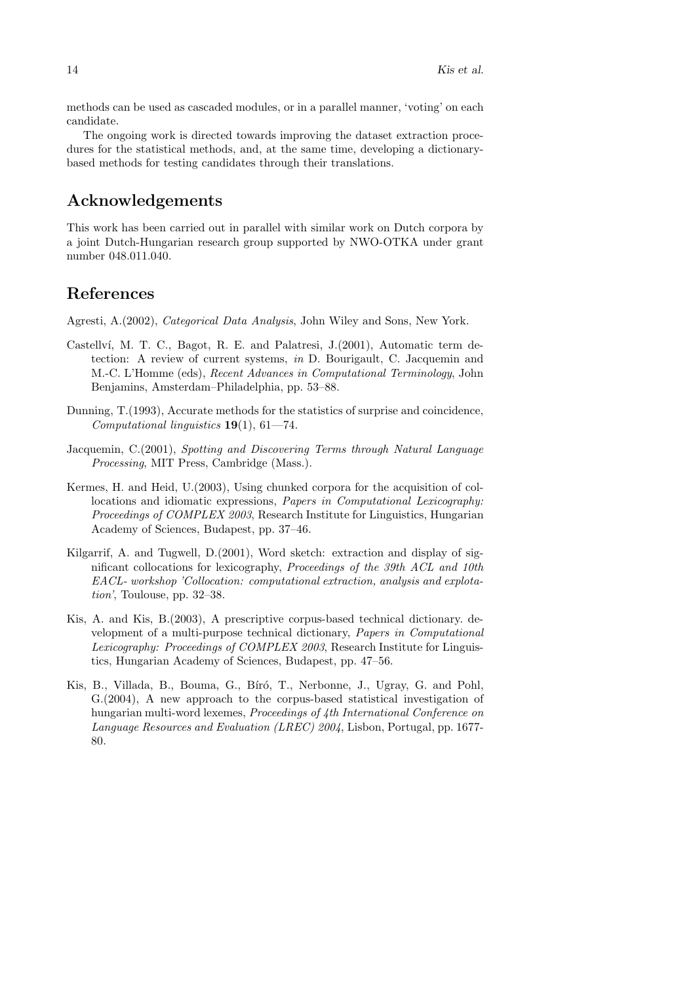methods can be used as cascaded modules, or in a parallel manner, 'voting' on each candidate.

The ongoing work is directed towards improving the dataset extraction procedures for the statistical methods, and, at the same time, developing a dictionarybased methods for testing candidates through their translations.

# Acknowledgements

This work has been carried out in parallel with similar work on Dutch corpora by a joint Dutch-Hungarian research group supported by NWO-OTKA under grant number 048.011.040.

# References

Agresti, A.(2002), Categorical Data Analysis, John Wiley and Sons, New York.

- Castellví, M. T. C., Bagot, R. E. and Palatresi, J. (2001), Automatic term detection: A review of current systems, in D. Bourigault, C. Jacquemin and M.-C. L'Homme (eds), Recent Advances in Computational Terminology, John Benjamins, Amsterdam–Philadelphia, pp. 53–88.
- Dunning, T.(1993), Accurate methods for the statistics of surprise and coincidence, Computational linguistics  $19(1)$ , 61-74.
- Jacquemin, C.(2001), Spotting and Discovering Terms through Natural Language Processing, MIT Press, Cambridge (Mass.).
- Kermes, H. and Heid, U.(2003), Using chunked corpora for the acquisition of collocations and idiomatic expressions, Papers in Computational Lexicography: Proceedings of COMPLEX 2003, Research Institute for Linguistics, Hungarian Academy of Sciences, Budapest, pp. 37–46.
- Kilgarrif, A. and Tugwell, D.(2001), Word sketch: extraction and display of significant collocations for lexicography, Proceedings of the 39th ACL and 10th EACL- workshop 'Collocation: computational extraction, analysis and explotation', Toulouse, pp. 32–38.
- Kis, A. and Kis, B.(2003), A prescriptive corpus-based technical dictionary. development of a multi-purpose technical dictionary, Papers in Computational Lexicography: Proceedings of COMPLEX 2003, Research Institute for Linguistics, Hungarian Academy of Sciences, Budapest, pp. 47–56.
- Kis, B., Villada, B., Bouma, G., Bíró, T., Nerbonne, J., Ugray, G. and Pohl, G.(2004), A new approach to the corpus-based statistical investigation of hungarian multi-word lexemes, *Proceedings of 4th International Conference on* Language Resources and Evaluation (LREC) 2004, Lisbon, Portugal, pp. 1677- 80.